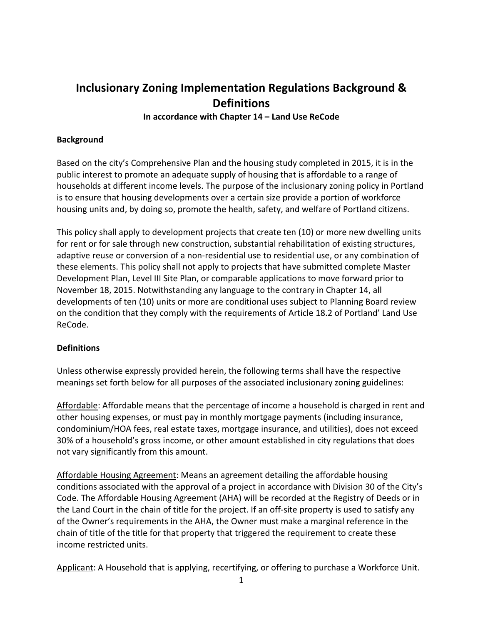# **Inclusionary Zoning Implementation Regulations Background & Definitions In accordance with Chapter 14 – Land Use ReCode**

### **Background**

Based on the city's Comprehensive Plan and the housing study completed in 2015, it is in the public interest to promote an adequate supply of housing that is affordable to a range of households at different income levels. The purpose of the inclusionary zoning policy in Portland is to ensure that housing developments over a certain size provide a portion of workforce housing units and, by doing so, promote the health, safety, and welfare of Portland citizens.

This policy shall apply to development projects that create ten (10) or more new dwelling units for rent or for sale through new construction, substantial rehabilitation of existing structures, adaptive reuse or conversion of a non-residential use to residential use, or any combination of these elements. This policy shall not apply to projects that have submitted complete Master Development Plan, Level III Site Plan, or comparable applications to move forward prior to November 18, 2015. Notwithstanding any language to the contrary in Chapter 14, all developments of ten (10) units or more are conditional uses subject to Planning Board review on the condition that they comply with the requirements of Article 18.2 of Portland' Land Use ReCode.

## **Definitions**

Unless otherwise expressly provided herein, the following terms shall have the respective meanings set forth below for all purposes of the associated inclusionary zoning guidelines:

Affordable: Affordable means that the percentage of income a household is charged in rent and other housing expenses, or must pay in monthly mortgage payments (including insurance, condominium/HOA fees, real estate taxes, mortgage insurance, and utilities), does not exceed 30% of a household's gross income, or other amount established in city regulations that does not vary significantly from this amount.

Affordable Housing Agreement: Means an agreement detailing the affordable housing conditions associated with the approval of a project in accordance with Division 30 of the City's Code. The Affordable Housing Agreement (AHA) will be recorded at the Registry of Deeds or in the Land Court in the chain of title for the project. If an off-site property is used to satisfy any of the Owner's requirements in the AHA, the Owner must make a marginal reference in the chain of title of the title for that property that triggered the requirement to create these income restricted units.

Applicant: A Household that is applying, recertifying, or offering to purchase a Workforce Unit.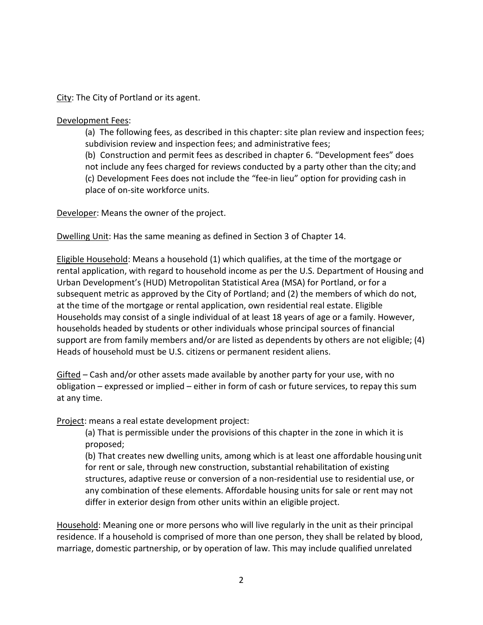City: The City of Portland or its agent.

#### Development Fees:

(a) The following fees, as described in this chapter: site plan review and inspection fees; subdivision review and inspection fees; and administrative fees;

(b) Construction and permit fees as described in chapter 6. "Development fees" does

not include any fees charged for reviews conducted by a party other than the city; and (c) Development Fees does not include the "fee-in lieu" option for providing cash in place of on-site workforce units.

Developer: Means the owner of the project.

Dwelling Unit: Has the same meaning as defined in Section 3 of Chapter 14.

Eligible Household: Means a household (1) which qualifies, at the time of the mortgage or rental application, with regard to household income as per the U.S. Department of Housing and Urban Development's (HUD) Metropolitan Statistical Area (MSA) for Portland, or for a subsequent metric as approved by the City of Portland; and (2) the members of which do not, at the time of the mortgage or rental application, own residential real estate. Eligible Households may consist of a single individual of at least 18 years of age or a family. However, households headed by students or other individuals whose principal sources of financial support are from family members and/or are listed as dependents by others are not eligible; (4) Heads of household must be U.S. citizens or permanent resident aliens.

Gifted – Cash and/or other assets made available by another party for your use, with no obligation – expressed or implied – either in form of cash or future services, to repay this sum at any time.

Project: means a real estate development project:

(a) That is permissible under the provisions of this chapter in the zone in which it is proposed;

(b) That creates new dwelling units, among which is at least one affordable housingunit for rent or sale, through new construction, substantial rehabilitation of existing structures, adaptive reuse or conversion of a non-residential use to residential use, or any combination of these elements. Affordable housing units for sale or rent may not differ in exterior design from other units within an eligible project.

Household: Meaning one or more persons who will live regularly in the unit as their principal residence. If a household is comprised of more than one person, they shall be related by blood, marriage, domestic partnership, or by operation of law. This may include qualified unrelated